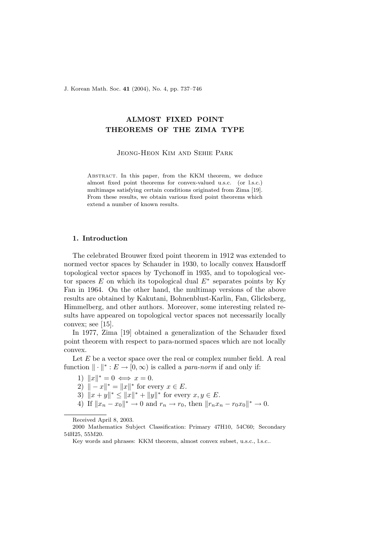J. Korean Math. Soc. 41 (2004), No. 4, pp. 737–746

# ALMOST FIXED POINT THEOREMS OF THE ZIMA TYPE

Jeong-Heon Kim and Sehie Park

Abstract. In this paper, from the KKM theorem, we deduce almost fixed point theorems for convex-valued u.s.c. (or l.s.c.) multimaps satisfying certain conditions originated from Zima [19]. From these results, we obtain various fixed point theorems which extend a number of known results.

# 1. Introduction

The celebrated Brouwer fixed point theorem in 1912 was extended to normed vector spaces by Schauder in 1930, to locally convex Hausdorff topological vector spaces by Tychonoff in 1935, and to topological vector spaces  $E$  on which its topological dual  $E^*$  separates points by Ky Fan in 1964. On the other hand, the multimap versions of the above results are obtained by Kakutani, Bohnenblust-Karlin, Fan, Glicksberg, Himmelberg, and other authors. Moreover, some interesting related results have appeared on topological vector spaces not necessarily locally convex; see [15].

In 1977, Zima [19] obtained a generalization of the Schauder fixed point theorem with respect to para-normed spaces which are not locally convex.

Let  $E$  be a vector space over the real or complex number field. A real function  $\|\cdot\|^* : E \to [0, \infty)$  is called a *para-norm* if and only if:

- 1)  $||x||^* = 0 \iff x = 0.$
- 2)  $|| x ||^* = ||x||^*$  for every  $x \in E$ .
- 3)  $||x + y||^* \le ||x||^* + ||y||^*$  for every  $x, y \in E$ .
- 4) If  $||x_n x_0||^* \to 0$  and  $r_n \to r_0$ , then  $||r_n x_n r_0 x_0||^* \to 0$ .

Received April 8, 2003.

<sup>2000</sup> Mathematics Subject Classification: Primary 47H10, 54C60; Secondary 54H25, 55M20.

Key words and phrases: KKM theorem, almost convex subset, u.s.c., l.s.c..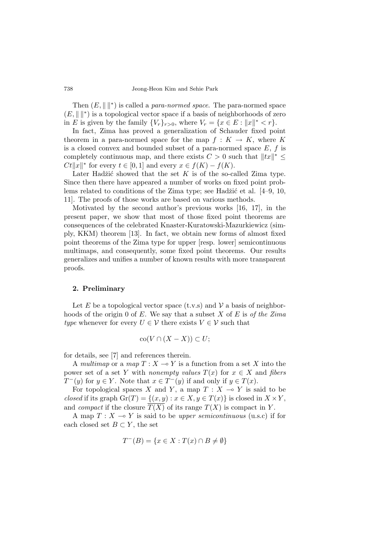Then  $(E, \|\cdot\|^*)$  is called a *para-normed space*. The para-normed space  $(E, \|\cdot\|^*)$  is a topological vector space if a basis of neighborhoods of zero in E is given by the family  $\{V_r\}_{r>0}$ , where  $V_r = \{x \in E : ||x||^* < r\}.$ 

In fact, Zima has proved a generalization of Schauder fixed point theorem in a para-normed space for the map  $f: K \to K$ , where K is a closed convex and bounded subset of a para-normed space  $E, f$  is completely continuous map, and there exists  $C > 0$  such that  $||tx||^* \le$  $Ct||x||^*$  for every  $t \in [0,1]$  and every  $x \in f(K) - f(K)$ .

Later Hadžić showed that the set K is of the so-called Zima type. Since then there have appeared a number of works on fixed point problems related to conditions of the Zima type; see Hadžić et al.  $[4-9, 10,$ 11]. The proofs of those works are based on various methods.

Motivated by the second author's previous works [16, 17], in the present paper, we show that most of those fixed point theorems are consequences of the celebrated Knaster-Kuratowski-Mazurkiewicz (simply, KKM) theorem [13]. In fact, we obtain new forms of almost fixed point theorems of the Zima type for upper [resp. lower] semicontinuous multimaps, and consequently, some fixed point theorems. Our results generalizes and unifies a number of known results with more transparent proofs.

# 2. Preliminary

Let E be a topological vector space  $(t.v.s)$  and V a basis of neighborhoods of the origin 0 of  $E$ . We say that a subset  $X$  of  $E$  is of the Zima type whenever for every  $U \in \mathcal{V}$  there exists  $V \in \mathcal{V}$  such that

$$
co(V \cap (X - X)) \subset U;
$$

for details, see [7] and references therein.

A multimap or a map  $T : X \longrightarrow Y$  is a function from a set X into the power set of a set Y with nonempty values  $T(x)$  for  $x \in X$  and fibers  $T^-(y)$  for  $y \in Y$ . Note that  $x \in T^-(y)$  if and only if  $y \in T(x)$ .

For topological spaces X and Y, a map  $T : X \multimap Y$  is said to be closed if its graph  $\mathrm{Gr}(T) = \{(x, y) : x \in X, y \in T(x)\}\$ is closed in  $X \times Y$ , and *compact* if the closure  $T(X)$  of its range  $T(X)$  is compact in Y.

A map  $T : X \to Y$  is said to be upper semicontinuous (u.s.c) if for each closed set  $B \subset Y$ , the set

$$
T^{-}(B) = \{ x \in X : T(x) \cap B \neq \emptyset \}
$$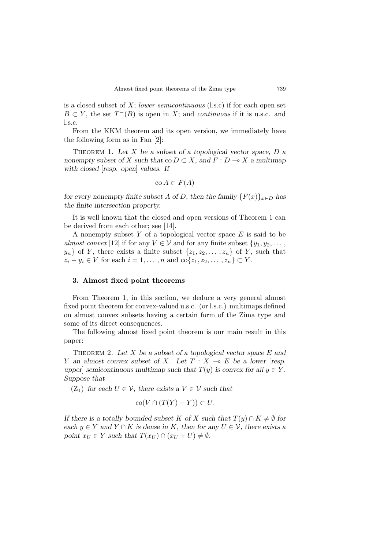is a closed subset of  $X$ ; lower semicontinuous (l.s.c) if for each open set  $B \subset Y$ , the set  $T^{-}(B)$  is open in X; and *continuous* if it is u.s.c. and l.s.c.

From the KKM theorem and its open version, we immediately have the following form as in Fan [2]:

THEOREM 1. Let X be a subset of a topological vector space,  $D$  a nonempty subset of X such that co  $D \subset X$ , and  $F : D \multimap X$  a multimap with closed [resp. open] values. If

$$
co A \subset F(A)
$$

for every nonempty finite subset A of D, then the family  ${F(x)}_{x\in D}$  has the finite intersection property.

It is well known that the closed and open versions of Theorem 1 can be derived from each other; see [14].

A nonempty subset Y of a topological vector space  $E$  is said to be almost convex [12] if for any  $V \in \mathcal{V}$  and for any finite subset  $\{y_1, y_2, \ldots, y_n\}$  $y_n$  of Y, there exists a finite subset  $\{z_1, z_2, \ldots, z_n\}$  of Y, such that  $z_i - y_i \in V$  for each  $i = 1, \ldots, n$  and  $\text{co}\{z_1, z_2, \ldots, z_n\} \subset Y$ .

## 3. Almost fixed point theorems

From Theorem 1, in this section, we deduce a very general almost fixed point theorem for convex-valued u.s.c. (or l.s.c.) multimaps defined on almost convex subsets having a certain form of the Zima type and some of its direct consequences.

The following almost fixed point theorem is our main result in this paper:

THEOREM 2. Let  $X$  be a subset of a topological vector space  $E$  and Y an almost convex subset of X. Let  $T : X \multimap E$  be a lower [resp. upper] semicontinuous multimap such that  $T(y)$  is convex for all  $y \in Y$ . Suppose that

 $(Z_1)$  for each  $U \in \mathcal{V}$ , there exists a  $V \in \mathcal{V}$  such that

$$
co(V \cap (T(Y) - Y)) \subset U.
$$

If there is a totally bounded subset K of  $\overline{X}$  such that  $T(y) \cap K \neq \emptyset$  for each  $y \in Y$  and  $Y \cap K$  is dense in K, then for any  $U \in V$ , there exists a point  $x_U \in Y$  such that  $T(x_U) \cap (x_U + U) \neq \emptyset$ .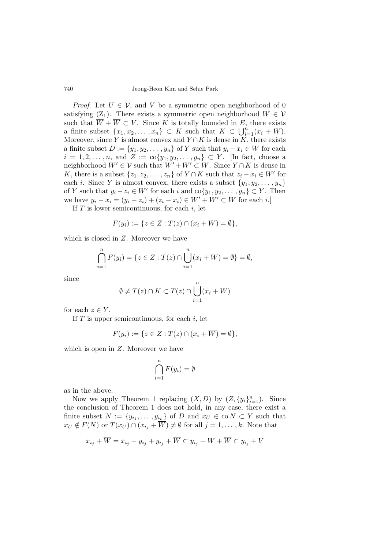*Proof.* Let  $U \in \mathcal{V}$ , and V be a symmetric open neighborhood of 0 satisfying  $(Z_1)$ . There exists a symmetric open neighborhood  $W \in \mathcal{V}$ such that  $\overline{W} + \overline{W} \subset V$ . Since K is totally bounded in E, there exists a finite subset  $\{x_1, x_2, \ldots, x_n\} \subset K$  such that  $K \subset \bigcup_{i=1}^n (x_i + W)$ . Moreover, since Y is almost convex and  $Y \cap K$  is dense in K, there exists a finite subset  $D := \{y_1, y_2, \dots, y_n\}$  of Y such that  $y_i - x_i \in W$  for each  $i = 1, 2, \ldots, n$ , and  $Z := \text{co}\{y_1, y_2, \ldots, y_n\} \subset Y$ . [In fact, choose a neighborhood  $W' \in \mathcal{V}$  such that  $W' + W' \subset W$ . Since  $Y \cap K$  is dense in K, there is a subset  $\{z_1, z_2, \ldots, z_n\}$  of  $Y \cap K$  such that  $z_i - x_i \in W'$  for each *i*. Since *Y* is almost convex, there exists a subset  $\{y_1, y_2, \ldots, y_n\}$ of Y such that  $y_i - z_i \in W'$  for each i and  $\text{co}\{y_1, y_2, \dots, y_n\} \subset Y$ . Then we have  $y_i - x_i = (y_i - z_i) + (z_i - x_i) \in W' + W' \subset W$  for each i.]

If  $T$  is lower semicontinuous, for each  $i$ , let

$$
F(y_i) := \{ z \in Z : T(z) \cap (x_i + W) = \emptyset \},\
$$

which is closed in Z. Moreover we have

$$
\bigcap_{i=1}^{n} F(y_i) = \{ z \in Z : T(z) \cap \bigcup_{i=1}^{n} (x_i + W) = \emptyset \} = \emptyset,
$$

since

$$
\emptyset \neq T(z) \cap K \subset T(z) \cap \bigcup_{i=1}^{n} (x_i + W)
$$

for each  $z \in Y$ .

If  $T$  is upper semicontinuous, for each  $i$ , let

$$
F(y_i) := \{ z \in Z : T(z) \cap (x_i + \overline{W}) = \emptyset \},\
$$

which is open in  $Z$ . Moreover we have

$$
\bigcap_{i=1}^n F(y_i) = \emptyset
$$

as in the above.

Now we apply Theorem 1 replacing  $(X, D)$  by  $(Z, \{y_i\}_{i=1}^n)$ . Since the conclusion of Theorem 1 does not hold, in any case, there exist a finite subset  $N := \{y_{i_1}, \ldots, y_{i_k}\}\$  of D and  $x_U \in \text{co } N \subset Y$  such that  $x_U \notin F(N)$  or  $T(x_U) \cap (x_{i_1} + \overline{W}) \neq \emptyset$  for all  $j = 1, \ldots, k$ . Note that

$$
x_{i_j} + \overline{W} = x_{i_j} - y_{i_j} + y_{i_j} + \overline{W} \subset y_{i_j} + W + \overline{W} \subset y_{i_j} + V
$$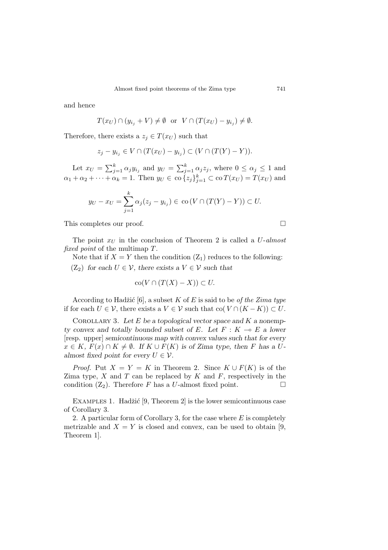and hence

$$
T(x_U) \cap (y_{i_j} + V) \neq \emptyset \text{ or } V \cap (T(x_U) - y_{i_j}) \neq \emptyset.
$$

Therefore, there exists a  $z_j \in T(x_U)$  such that

$$
z_j - y_{i_j} \in V \cap (T(x_U) - y_{i_j}) \subset (V \cap (T(Y) - Y)).
$$

Let  $x_U = \sum_{i=1}^k$  $y_{j=1}^k \alpha_j y_{i_j}$  and  $y_U = \sum_j^k$  $\sum_{j=1}^k \alpha_j z_j$ , where  $0 \leq \alpha_j \leq 1$  and  $\alpha_1 + \alpha_2 + \cdots + \alpha_k = 1$ . Then  $y_U \in \text{co}\left\{z_j\right\}_{j=1}^k \subset \text{co}\left\{x_U\right\} = T(x_U)$  and

$$
y_U - x_U = \sum_{j=1}^k \alpha_j (z_j - y_{i_j}) \in \text{co}(V \cap (T(Y) - Y)) \subset U.
$$

This completes our proof.  $\Box$ 

The point  $x_U$  in the conclusion of Theorem 2 is called a U-almost fixed point of the multimap T.

Note that if  $X = Y$  then the condition  $(Z_1)$  reduces to the following:  $(Z_2)$  for each  $U \in \mathcal{V}$ , there exists a  $V \in \mathcal{V}$  such that

$$
co(V \cap (T(X) - X)) \subset U.
$$

According to Hadžić [6], a subset K of E is said to be *of the Zima type* if for each  $U \in \mathcal{V}$ , there exists a  $V \in \mathcal{V}$  such that co $(V \cap (K - K)) \subset U$ .

COROLLARY 3. Let  $E$  be a topological vector space and  $K$  a nonempty convex and totally bounded subset of E. Let  $F : K \multimap E$  a lower [resp. upper] semicontinuous map with convex values such that for every  $x \in K$ ,  $F(x) \cap K \neq \emptyset$ . If  $K \cup F(K)$  is of Zima type, then F has a Ualmost fixed point for every  $U \in \mathcal{V}$ .

*Proof.* Put  $X = Y = K$  in Theorem 2. Since  $K \cup F(K)$  is of the Zima type,  $X$  and  $T$  can be replaced by  $K$  and  $F$ , respectively in the condition  $(Z_2)$ . Therefore F has a U-almost fixed point.  $\square$ 

EXAMPLES 1. Hadžić [9, Theorem 2] is the lower semicontinuous case of Corollary 3.

2. A particular form of Corollary 3, for the case where  $E$  is completely metrizable and  $X = Y$  is closed and convex, can be used to obtain [9, Theorem 1].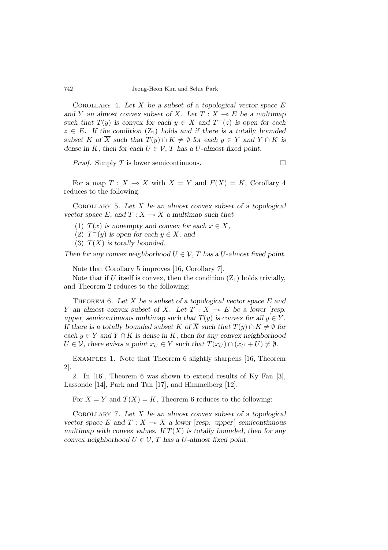COROLLARY 4. Let X be a subset of a topological vector space  $E$ and Y an almost convex subset of X. Let  $T : X \multimap E$  be a multimap such that  $T(y)$  is convex for each  $y \in X$  and  $T^{-}(z)$  is open for each  $z \in E$ . If the condition  $(Z_1)$  holds and if there is a totally bounded subset K of  $\overline{X}$  such that  $T(y) \cap K \neq \emptyset$  for each  $y \in Y$  and  $Y \cap K$  is dense in K, then for each  $U \in \mathcal{V}$ , T has a U-almost fixed point.

*Proof.* Simply T is lower semicontinuous.  $\Box$ 

For a map  $T : X \multimap X$  with  $X = Y$  and  $F(X) = K$ , Corollary 4 reduces to the following:

COROLLARY 5. Let  $X$  be an almost convex subset of a topological vector space E, and  $T : X \longrightarrow X$  a multimap such that

- (1)  $T(x)$  is nonempty and convex for each  $x \in X$ ,
- (2)  $T^-(y)$  is open for each  $y \in X$ , and
- (3)  $T(X)$  is totally bounded.

Then for any convex neighborhood  $U \in \mathcal{V}$ , T has a U-almost fixed point.

Note that Corollary 5 improves [16, Corollary 7].

Note that if U itself is convex, then the condition  $(Z_1)$  holds trivially, and Theorem 2 reduces to the following:

THEOREM 6. Let X be a subset of a topological vector space  $E$  and Y an almost convex subset of X. Let  $T : X \multimap E$  be a lower [resp. upper] semicontinuous multimap such that  $T(y)$  is convex for all  $y \in Y$ . If there is a totally bounded subset K of  $\overline{X}$  such that  $T(y) \cap K \neq \emptyset$  for each  $y \in Y$  and  $Y \cap K$  is dense in K, then for any convex neighborhood  $U \in \mathcal{V}$ , there exists a point  $x_U \in Y$  such that  $T(x_U) \cap (x_U + U) \neq \emptyset$ .

Examples 1. Note that Theorem 6 slightly sharpens [16, Theorem 2].

2. In [16], Theorem 6 was shown to extend results of Ky Fan [3], Lassonde [14], Park and Tan [17], and Himmelberg [12].

For  $X = Y$  and  $T(X) = K$ , Theorem 6 reduces to the following:

COROLLARY 7. Let  $X$  be an almost convex subset of a topological vector space E and  $T : X \to X$  a lower [resp. upper] semicontinuous multimap with convex values. If  $T(X)$  is totally bounded, then for any convex neighborhood  $U \in \mathcal{V}$ , T has a U-almost fixed point.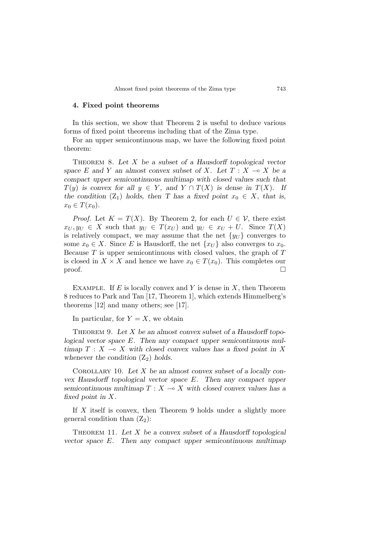#### 4. Fixed point theorems

In this section, we show that Theorem 2 is useful to deduce various forms of fixed point theorems including that of the Zima type.

For an upper semicontinuous map, we have the following fixed point theorem:

THEOREM 8. Let  $X$  be a subset of a Hausdorff topological vector space E and Y an almost convex subset of X. Let  $T : X \to X$  be a compact upper semicontinuous multimap with closed values such that  $T(y)$  is convex for all  $y \in Y$ , and  $Y \cap T(X)$  is dense in  $T(X)$ . If the condition (Z<sub>1</sub>) holds, then T has a fixed point  $x_0 \in X$ , that is,  $x_0 \in T(x_0)$ .

*Proof.* Let  $K = T(X)$ . By Theorem 2, for each  $U \in \mathcal{V}$ , there exist  $x_U, y_U \in X$  such that  $y_U \in T(x_U)$  and  $y_U \in x_U + U$ . Since  $T(X)$ is relatively compact, we may assume that the net  $\{y_U\}$  converges to some  $x_0 \in X$ . Since E is Hausdorff, the net  $\{x_U\}$  also converges to  $x_0$ . Because  $T$  is upper semicontinuous with closed values, the graph of  $T$ is closed in  $X \times X$  and hence we have  $x_0 \in T(x_0)$ . This completes our  $\Box$ 

EXAMPLE. If  $E$  is locally convex and  $Y$  is dense in  $X$ , then Theorem 8 reduces to Park and Tan [17, Theorem 1], which extends Himmelberg's theorems [12] and many others; see [17].

In particular, for  $Y = X$ , we obtain

THEOREM 9. Let  $X$  be an almost convex subset of a Hausdorff topological vector space E. Then any compact upper semicontinuous multimap  $T : X \multimap X$  with closed convex values has a fixed point in X whenever the condition  $(Z_2)$  holds.

COROLLARY 10. Let  $X$  be an almost convex subset of a locally convex Hausdorff topological vector space E. Then any compact upper semicontinuous multimap  $T : X \longrightarrow X$  with closed convex values has a fixed point in X.

If  $X$  itself is convex, then Theorem 9 holds under a slightly more general condition than  $(Z_2)$ :

THEOREM 11. Let  $X$  be a convex subset of a Hausdorff topological vector space  $E$ . Then any compact upper semicontinuous multimap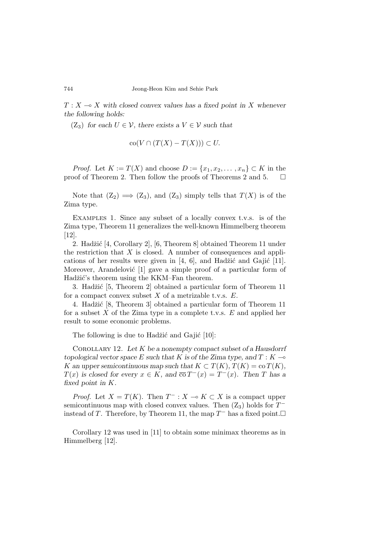$T : X \longrightarrow X$  with closed convex values has a fixed point in X whenever the following holds:

(Z<sub>3</sub>) for each  $U \in \mathcal{V}$ , there exists a  $V \in \mathcal{V}$  such that

$$
co(V \cap (T(X) - T(X))) \subset U.
$$

*Proof.* Let  $K := T(X)$  and choose  $D := \{x_1, x_2, \ldots, x_n\} \subset K$  in the proof of Theorem 2. Then follow the proofs of Theorems 2 and 5.  $\Box$ 

Note that  $(Z_2) \implies (Z_3)$ , and  $(Z_3)$  simply tells that  $T(X)$  is of the Zima type.

Examples 1. Since any subset of a locally convex t.v.s. is of the Zima type, Theorem 11 generalizes the well-known Himmelberg theorem [12].

2. Hadžić [4, Corollary 2], [6, Theorem 8] obtained Theorem 11 under the restriction that  $X$  is closed. A number of consequences and applications of her results were given in  $[4, 6]$ , and Hadžić and Gajić  $[11]$ . Moreover, Arandelović [1] gave a simple proof of a particular form of Hadžić's theorem using the KKM–Fan theorem.

3. Hadžić [5, Theorem 2] obtained a particular form of Theorem 11 for a compact convex subset  $X$  of a metrizable t.v.s.  $E$ .

4. Hadžić [8, Theorem 3] obtained a particular form of Theorem 11 for a subset  $X$  of the Zima type in a complete t.v.s.  $E$  and applied her result to some economic problems.

The following is due to Hadžić and Gajić  $[10]$ :

COROLLARY 12. Let  $K$  be a nonempty compact subset of a Hausdorrf topological vector space E such that K is of the Zima type, and  $T : K \rightarrow$ K an upper semicontinuous map such that  $K \subset T(K)$ ,  $T(K) = \text{co } T(K)$ ,  $T(x)$  is closed for every  $x \in K$ , and  $\overline{co} T^{-}(x) = T^{-}(x)$ . Then T has a fixed point in K.

*Proof.* Let  $X = T(K)$ . Then  $T^- : X \to K \subset X$  is a compact upper semicontinuous map with closed convex values. Then  $(Z_3)$  holds for  $T^$ instead of T. Therefore, by Theorem 11, the map  $T^-$  has a fixed point. $\Box$ 

Corollary 12 was used in [11] to obtain some minimax theorems as in Himmelberg [12].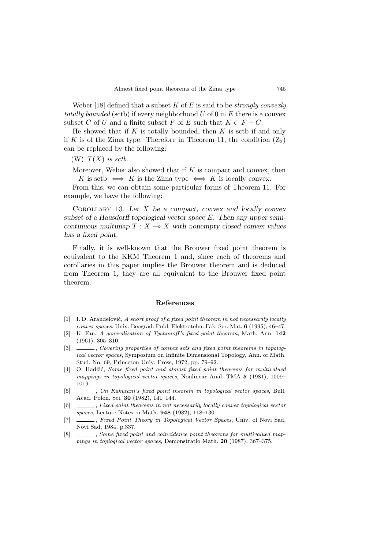Weber [18] defined that a subset K of E is said to be *strongly convexly* totally bounded (sctb) if every neighborhood  $U$  of 0 in  $E$  there is a convex subset C of U and a finite subset F of E such that  $K \subset F + C$ .

He showed that if  $K$  is totally bounded, then  $K$  is sctb if and only if K is of the Zima type. Therefore in Theorem 11, the condition  $(Z_3)$ can be replaced by the following:

(W)  $T(X)$  is sctb.

Moreover, Weber also showed that if  $K$  is compact and convex, then K is sctb  $\iff$  K is the Zima type  $\iff$  K is locally convex.

From this, we can obtain some particular forms of Theorem 11. For example, we have the following:

COROLLARY 13. Let  $X$  be a compact, convex and locally convex subset of a Hausdorff topological vector space  $E$ . Then any upper semicontinuous multimap  $T : X \longrightarrow X$  with nonempty closed convex values has a fixed point.

Finally, it is well-known that the Brouwer fixed point theorem is equivalent to the KKM Theorem 1 and, since each of theorems and corollaries in this paper implies the Brouwer theorem and is deduced from Theorem 1, they are all equivalent to the Brouwer fixed point theorem.

## References

- $[1]$  I. D. Arandelović, A short proof of a fixed point theorem in not necessarily locally convex spaces, Univ. Beograd. Publ. Elektrotehn. Fak. Ser. Mat. 6 (1995), 46–47.
- [2] K. Fan, A generalization of Tychonoff 's fixed point theorem, Math. Ann. 142 (1961), 305–310.
- [3]  $\_\_\_\_\_\$ , Covering properties of convex sets and fixed point theorems in topological vector spaces, Symposium on Infinite Dimensional Topology, Ann. of Math. Stud. No. 69, Princeton Univ. Press, 1972, pp. 79–92.
- [4] O. Hadžić, Some fixed point and almost fixed point theorems for multivalued mappings in topological vector spaces, Nonlinear Anal. TMA 5 (1981), 1009– 1019.
- [5] , On Kakutani's fixed point theorem in topological vector spaces, Bull. Acad. Polon. Sci. 30 (1982), 141–144.
- [6]  $\quad \underline{\hspace{2cm}}$ , Fixed point theorems in not necessarily locally convex topological vector spaces, Lecture Notes in Math. 948 (1982), 118–130.
- [7]  $\quad \qquad$ , Fixed Point Theory in Topological Vector Spaces, Univ. of Novi Sad, Novi Sad, 1984, p.337.
- [8]  $\_\_\_\_\_\_\_\_\_\_\_\_\_\_\_\_\_\_\_\_\_\_\.\_\_\_\_\_\_\_\_\.\_$ pings in toplogical vector spaces, Demonstratio Math. 20 (1987), 367–375.